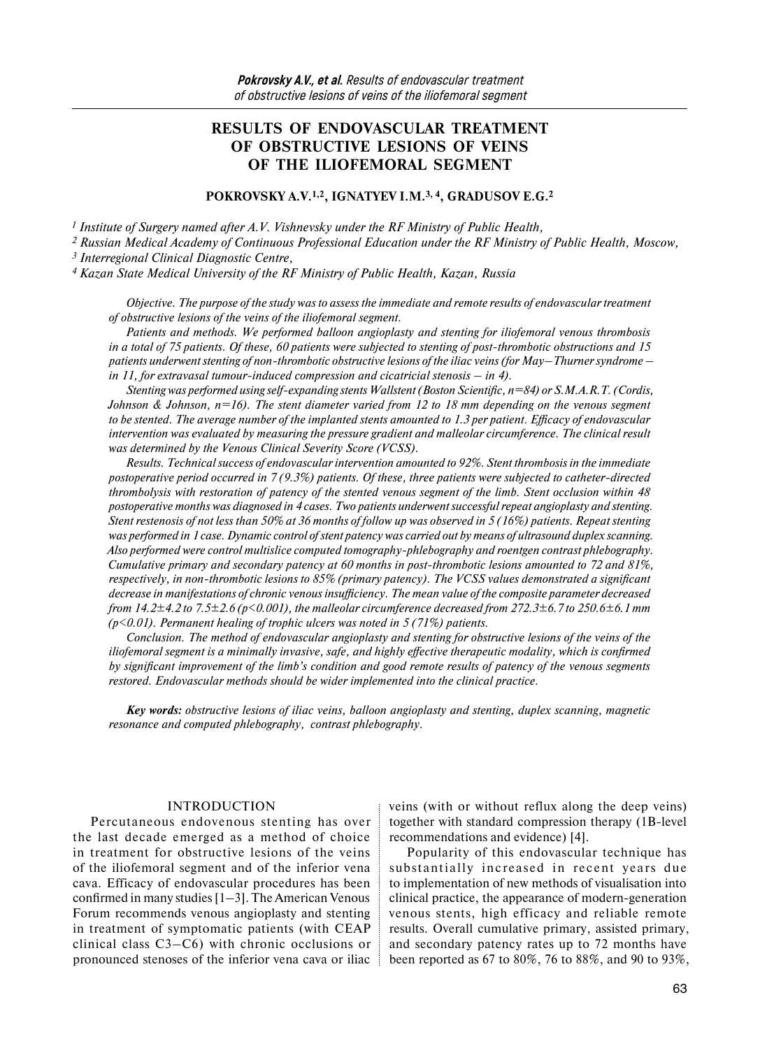# **RESULTS OF ENDOVASCULAR TREATMENT OF OBSTRUCTIVE LESIONS OF VEINS OF THE ILIOFEMORAL SEGMENT**

### **POKROVSKY A.V.1,2, IGNATYEV I.M.3, 4, GRADUSOV E.G.2**

*1 Institute of Surgery named after A.V. Vishnevsky under the RF Ministry of Public Health,* 

*2 Russian Medical Academy of Continuous Professional Education under the RF Ministry of Public Health, Moscow,*

*3 Interregional Clinical Diagnostic Centre,* 

*4 Kazan State Medical University of the RF Ministry of Public Health, Kazan, Russia* 

*Objective. The purpose of the study was to assess the immediate and remote results of endovascular treatment of obstructive lesions of the veins of the iliofemoral segment.* 

*Patients and methods. We performed balloon angioplasty and stenting for iliofemoral venous thrombosis in a total of 75 patients. Of these, 60 patients were subjected to stenting of post-thrombotic obstructions and 15 patients underwent stenting of non-thrombotic obstructive lesions of the iliac veins (for May–Thurner syndrome – in 11, for extravasal tumour-induced compression and cicatricial stenosis – in 4).* 

*Stenting was performed using self-expanding stents Wallstent (Boston Scientific, n=84) or S.M.A.R.T. (Cordis, Johnson & Johnson, n=16). The stent diameter varied from 12 to 18 mm depending on the venous segment to be stented. The average number of the implanted stents amounted to 1.3 per patient. Efficacy of endovascular intervention was evaluated by measuring the pressure gradient and malleolar circumference. The clinical result was determined by the Venous Clinical Severity Score (VCSS).*

*Results. Technical success of endovascular intervention amounted to 92%. Stent thrombosis in the immediate postoperative period occurred in 7 (9.3%) patients. Of these, three patients were subjected to catheter-directed thrombolysis with restoration of patency of the stented venous segment of the limb. Stent occlusion within 48 postoperative months was diagnosed in 4 cases. Two patients underwent successful repeat angioplasty and stenting. Stent restenosis of not less than 50% at 36 months of follow up was observed in 5 (16%) patients. Repeat stenting was performed in 1 case. Dynamic control of stent patency was carried out by means of ultrasound duplex scanning. Also performed were control multislice computed tomography-phlebography and roentgen contrast phlebography. Cumulative primary and secondary patency at 60 months in post-thrombotic lesions amounted to 72 and 81%, respectively, in non-thrombotic lesions to 85% (primary patency). The VCSS values demonstrated a significant decrease in manifestations of chronic venous insufficiency. The mean value of the composite parameter decreased from 14.2±4.2 to 7.5±2.6 (p<0.001), the malleolar circumference decreased from 272.3±6.7 to 250.6±6.1 mm (p<0.01). Permanent healing of trophic ulcers was noted in 5 (71%) patients.* 

*Conclusion. The method of endovascular angioplasty and stenting for obstructive lesions of the veins of the iliofemoral segment is a minimally invasive, safe, and highly effective therapeutic modality, which is confirmed by significant improvement of the limb's condition and good remote results of patency of the venous segments restored. Endovascular methods should be wider implemented into the clinical practice.* 

*Key words: obstructive lesions of iliac veins, balloon angioplasty and stenting, duplex scanning, magnetic resonance and computed phlebography, contrast phlebography.* 

### INTRODUCTION

Percutaneous endovenous stenting has over the last decade emerged as a method of choice in treatment for obstructive lesions of the veins of the iliofemoral segment and of the inferior vena cava. Efficacy of endovascular procedures has been confirmed in many studies  $[1-3]$ . The American Venous Forum recommends venous angioplasty and stenting in treatment of symptomatic patients (with CEAP clinical class C3–C6) with chronic occlusions or pronounced stenoses of the inferior vena cava or iliac veins (with or without reflux along the deep veins) together with standard compression therapy (1B-level recommendations and evidence) [4].

Popularity of this endovascular technique has substantially increased in recent years due to implementation of new methods of visualisation into clinical practice, the appearance of modern-generation venous stents, high efficacy and reliable remote results. Overall cumulative primary, assisted primary, and secondary patency rates up to 72 months have been reported as 67 to 80%, 76 to 88%, and 90 to 93%,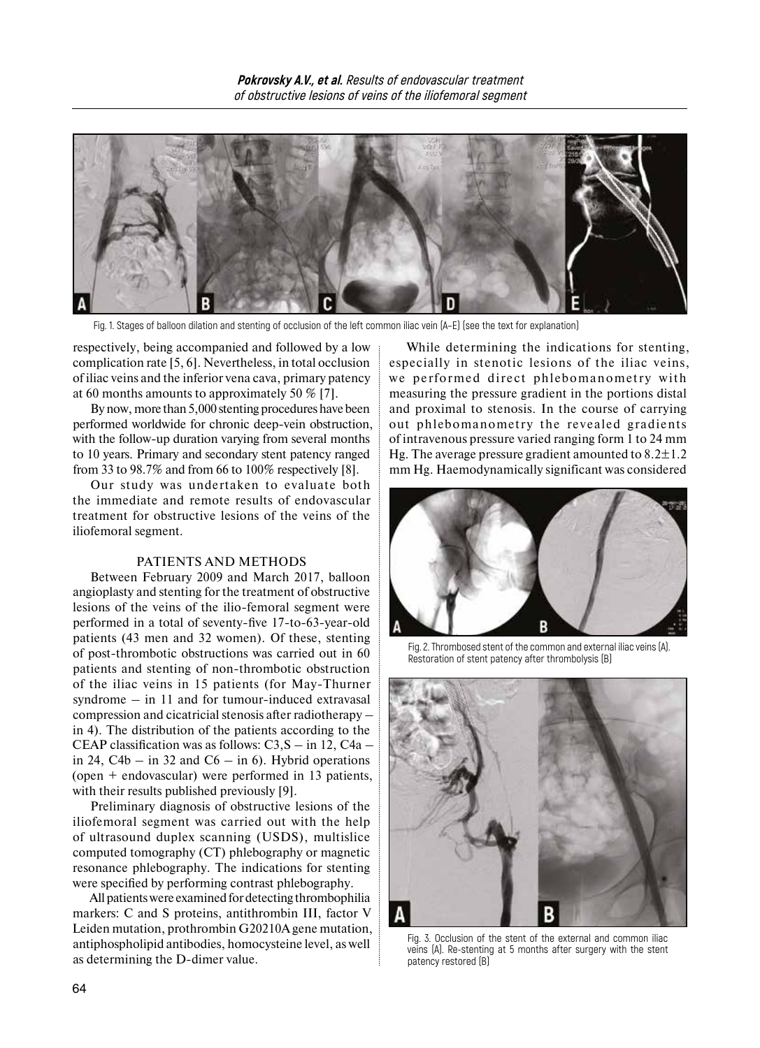

Fig. 1. Stages of balloon dilation and stenting of occlusion of the left common iliac vein (А–E) (see the text for explanation)

respectively, being accompanied and followed by a low complication rate [5, 6]. Nevertheless, in total occlusion of iliac veins and the inferior vena cava, primary patency at 60 months amounts to approximately 50 % [7].

Bynow, more than 5,000 stenting procedures have been performed worldwide for chronic deep-vein obstruction, with the follow-up duration varying from several months to 10 years. Primary and secondary stent patency ranged from 33 to 98.7% and from 66 to 100% respectively [8].

Our study was undertaken to evaluate both the immediate and remote results of endovascular treatment for obstructive lesions of the veins of the iliofemoral segment.

### PATIENTS AND METHODS

Between February 2009 and March 2017, balloon angioplasty and stenting for the treatment of obstructive lesions of the veins of the ilio-femoral segment were performed in a total of seventy-five 17-to-63-year-old patients (43 men and 32 women). Of these, stenting of post-thrombotic obstructions was carried out in 60 patients and stenting of non-thrombotic obstruction of the iliac veins in 15 patients (for May-Thurner syndrome – in 11 and for tumour-induced extravasal compression and cicatricial stenosis after radiotherapy – in 4). The distribution of the patients according to the CEAP classification was as follows: C3,S – in 12, C4a – in 24,  $C4b - in 32$  and  $C6 - in 6$ . Hybrid operations (open + endovascular) were performed in 13 patients, with their results published previously [9].

Preliminary diagnosis of obstructive lesions of the iliofemoral segment was carried out with the help of ultrasound duplex scanning (USDS), multislice computed tomography (CT) phlebography or magnetic resonance phlebography. The indications for stenting were specified by performing contrast phlebography.

All patients were examined for detecting thrombophilia markers: C and S proteins, antithrombin III, factor V Leiden mutation, prothrombin G20210A gene mutation, antiphospholipid antibodies, homocysteine level, as well as determining the D-dimer value.

While determining the indications for stenting, especially in stenotic lesions of the iliac veins, we performed direct phlebomanometry with measuring the pressure gradient in the portions distal and proximal to stenosis. In the course of carrying out phlebomanometry the revealed gradients of intravenous pressure varied ranging form 1 to 24 mm Hg. The average pressure gradient amounted to  $8.2 \pm 1.2$ mm Hg. Haemodynamically significant was considered



Fig. 2. Thrombosed stent of the common and external iliac veins (A). Restoration of stent patency after thrombolysis (B)



Fig. 3. Occlusion of the stent of the external and common iliac veins (A). Re-stenting at 5 months after surgery with the stent patency restored (B)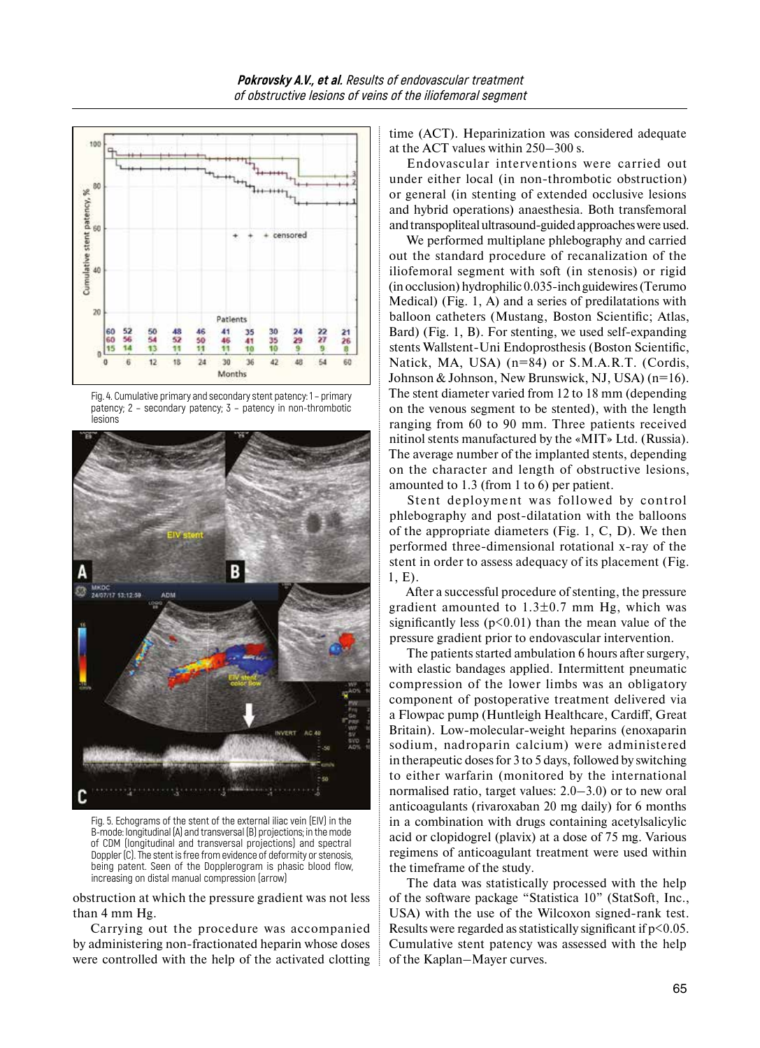





Fig. 5. Echograms of the stent of the external iliac vein (EIV) in the B-mode: longitudinal (A) and transversal (B) projections; in the mode of CDM (longitudinal and transversal projections) and spectral Doppler (C). The stent is free from evidence of deformity or stenosis, being patent. Seen of the Dopplerogram is phasic blood flow, increasing on distal manual compression (arrow)

obstruction at which the pressure gradient was not less than 4 mm Hg.

Carrying out the procedure was accompanied by administering non-fractionated heparin whose doses were controlled with the help of the activated clotting time (ACT). Heparinization was considered adequate at the ACT values within 250–300 s.

Endovascular interventions were carried out under either local (in non-thrombotic obstruction) or general (in stenting of extended occlusive lesions and hybrid operations) anaesthesia. Both transfemoral and transpopliteal ultrasound-guided approaches were used.

We performed multiplane phlebography and carried out the standard procedure of recanalization of the iliofemoral segment with soft (in stenosis) or rigid (inocclusion) hydrophilic 0.035-inch guidewires (Terumo Medical) (Fig. 1, A) and a series of predilatations with balloon catheters (Mustang, Boston Scientific; Atlas, Bard) (Fig. 1, B). For stenting, we used self-expanding stents Wallstent-Uni Endoprosthesis (Boston Scientific, Natick, MA, USA) (n=84) or S.M.A.R.T. (Cordis, Johnson & Johnson, New Brunswick, NJ, USA) (n=16). The stent diameter varied from 12 to 18 mm (depending on the venous segment to be stented), with the length ranging from 60 to 90 mm. Three patients received nitinol stents manufactured by the «MIT» Ltd. (Russia). The average number of the implanted stents, depending on the character and length of obstructive lesions, amounted to 1.3 (from 1 to 6) per patient.

Stent deployment was followed by control phlebography and post-dilatation with the balloons of the appropriate diameters (Fig. 1, C, D). We then performed three-dimensional rotational x-ray of the stent in order to assess adequacy of its placement (Fig. 1, E).

After a successful procedure of stenting, the pressure gradient amounted to  $1.3\pm0.7$  mm Hg, which was significantly less ( $p$ <0.01) than the mean value of the pressure gradient prior to endovascular intervention.

The patients started ambulation 6 hours after surgery, with elastic bandages applied. Intermittent pneumatic compression of the lower limbs was an obligatory component of postoperative treatment delivered via a Flowpac pump (Huntleigh Healthcare, Cardiff, Great Britain). Low-molecular-weight heparins (enoxaparin sodium, nadroparin calcium) were administered in therapeutic doses for 3 to 5 days, followed by switching to either warfarin (monitored by the international normalised ratio, target values: 2.0–3.0) or to new oral anticoagulants (rivaroxaban 20 mg daily) for 6 months in a combination with drugs containing acetylsalicylic acid or clopidogrel (plavix) at a dose of 75 mg. Various regimens of anticoagulant treatment were used within the timeframe of the study.

The data was statistically processed with the help of the software package "Statistica 10" (StatSoft, Inc., USA) with the use of the Wilcoxon signed-rank test. Results were regarded as statistically significant if  $p<0.05$ . Cumulative stent patency was assessed with the help of the Kaplan–Mayer curves.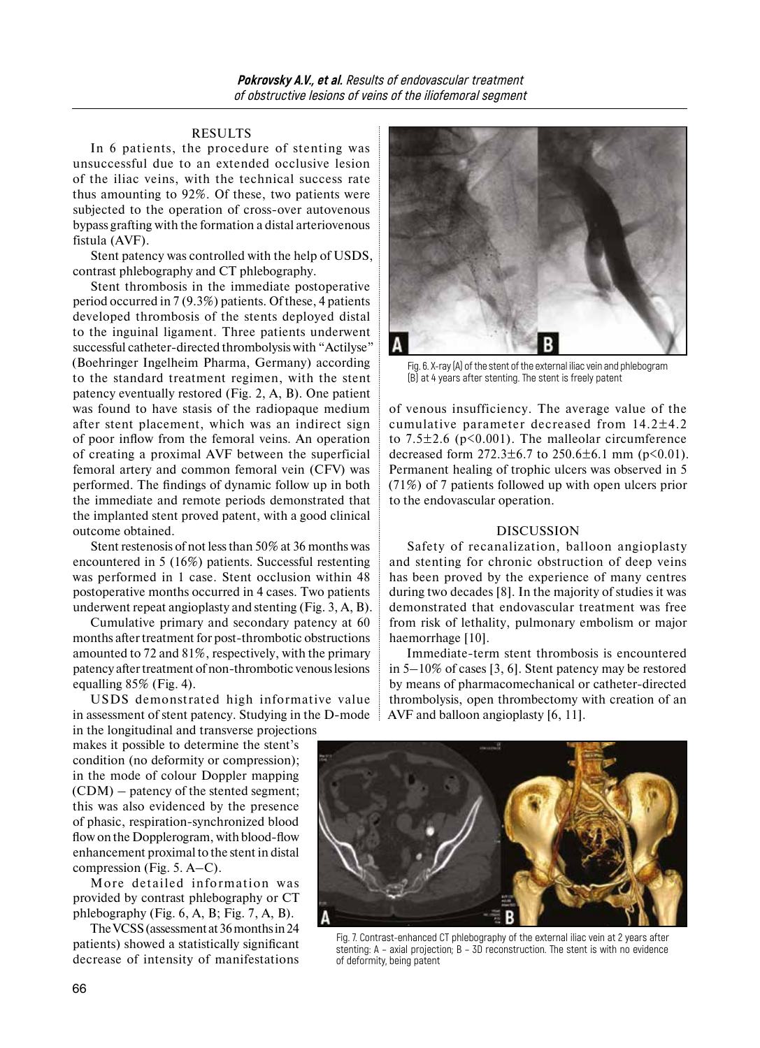# RESULTS

In 6 patients, the procedure of stenting was unsuccessful due to an extended occlusive lesion of the iliac veins, with the technical success rate thus amounting to 92%. Of these, two patients were subjected to the operation of cross-over autovenous bypass grafting with the formation a distal arteriovenous fistula (AVF).

Stent patency was controlled with the help of USDS, contrast phlebography and CT phlebography.

Stent thrombosis in the immediate postoperative period occurred in 7 (9.3%) patients. Of these, 4 patients developed thrombosis of the stents deployed distal to the inguinal ligament. Three patients underwent successful catheter-directed thrombolysis with "Actilyse" (Boehringer Ingelheim Pharma, Germany) according to the standard treatment regimen, with the stent patency eventually restored (Fig. 2, A, B). One patient was found to have stasis of the radiopaque medium after stent placement, which was an indirect sign of poor inflow from the femoral veins. An operation of creating a proximal AVF between the superficial femoral artery and common femoral vein (CFV) was performed. The findings of dynamic follow up in both the immediate and remote periods demonstrated that the implanted stent proved patent, with a good clinical outcome obtained.

Stent restenosis of not less than 50% at 36 months was encountered in 5 (16%) patients. Successful restenting was performed in 1 case. Stent occlusion within 48 postoperative months occurred in 4 cases. Two patients underwent repeat angioplasty and stenting (Fig. 3, A, B).

Cumulative primary and secondary patency at 60 months after treatment for post-thrombotic obstructions amounted to 72 and 81%, respectively, with the primary patency after treatment of non-thrombotic venous lesions equalling 85% (Fig. 4).

USDS demonstrated high informative value in assessment of stent patency. Studying in the D-mode

in the longitudinal and transverse projections makes it possible to determine the stent's condition (no deformity or compression); in the mode of colour Doppler mapping (CDM) – patency of the stented segment; this was also evidenced by the presence of phasic, respiration-synchronized blood flow on the Dopplerogram, with blood-flow enhancement proximal to the stent in distal compression (Fig. 5. A–C).

More detailed information was provided by contrast phlebography or CT phlebography (Fig. 6, A, B; Fig. 7, A, B).

The VCSS (assessment at 36 months in 24 patients) showed a statistically significant decrease of intensity of manifestations



Fig. 6. X-ray (A) of the stent of the external iliac vein and phlebogram (B) at 4 years after stenting. The stent is freely patent

of venous insufficiency. The average value of the cumulative parameter decreased from 14.2±4.2 to  $7.5\pm2.6$  ( $p<0.001$ ). The malleolar circumference decreased form  $272.3 \pm 6.7$  to  $250.6 \pm 6.1$  mm (p<0.01). Permanent healing of trophic ulcers was observed in 5 (71%) of 7 patients followed up with open ulcers prior to the endovascular operation.

### DISCUSSION

Safety of recanalization, balloon angioplasty and stenting for chronic obstruction of deep veins has been proved by the experience of many centres during two decades [8]. In the majority of studies it was demonstrated that endovascular treatment was free from risk of lethality, pulmonary embolism or major haemorrhage [10].

Immediate-term stent thrombosis is encountered in 5–10% of cases [3, 6]. Stent patency may be restored by means of pharmacomechanical or catheter-directed thrombolysis, open thrombectomy with creation of an AVF and balloon angioplasty [6, 11].



Fig. 7. Contrast-enhanced CT phlebography of the external iliac vein at 2 years after stenting: A – axial projection; B – 3D reconstruction. The stent is with no evidence of deformity, being patent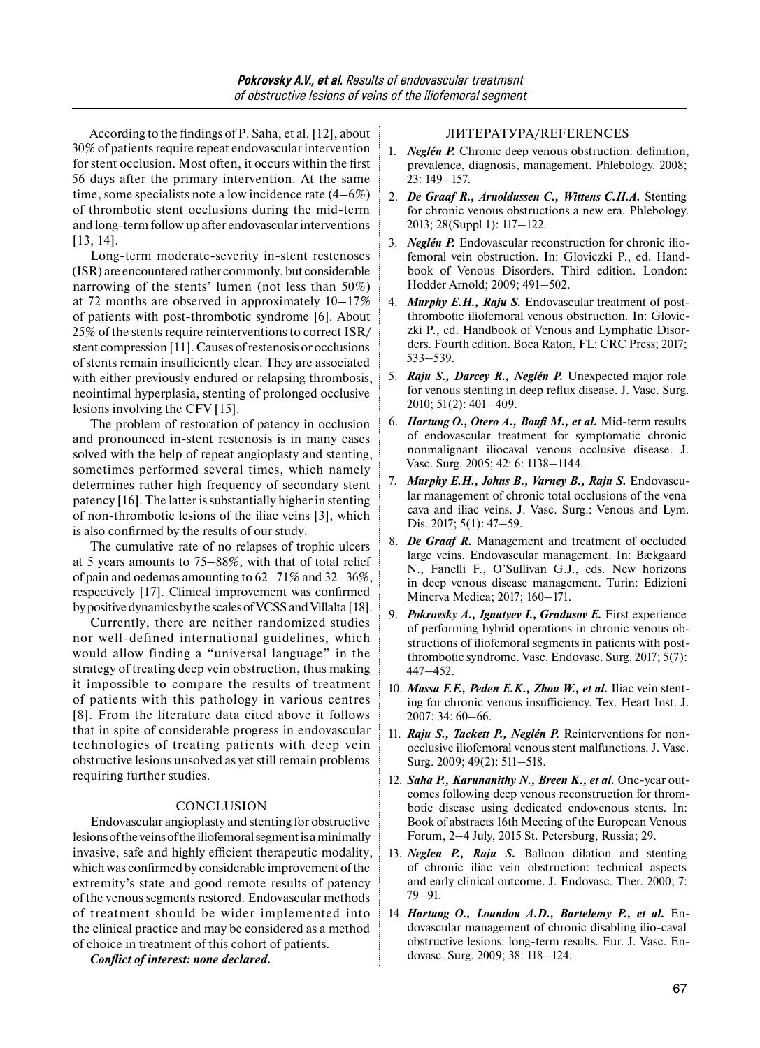According to the findings of P. Saha, et al. [12], about 30% of patients require repeat endovascular intervention for stent occlusion. Most often, it occurs within the first 56 days after the primary intervention. At the same time, some specialists note a low incidence rate (4–6%) of thrombotic stent occlusions during the mid-term and long-term follow up after endovascular interventions [13, 14].

Long-term moderate-severity in-stent restenoses (ISR) are encountered rather commonly, but considerable narrowing of the stents' lumen (not less than 50%) at 72 months are observed in approximately 10–17% of patients with post-thrombotic syndrome [6]. About 25% of the stents require reinterventions to correct ISR/ stent compression [11]. Causes of restenosis or occlusions of stents remain insufficiently clear. They are associated with either previously endured or relapsing thrombosis, neointimal hyperplasia, stenting of prolonged occlusive lesions involving the CFV [15].

The problem of restoration of patency in occlusion and pronounced in-stent restenosis is in many cases solved with the help of repeat angioplasty and stenting, sometimes performed several times, which namely determines rather high frequency of secondary stent patency [16]. The latter issubstantially higher in stenting of non-thrombotic lesions of the iliac veins [3], which is also confirmed by the results of our study.

The cumulative rate of no relapses of trophic ulcers at 5 years amounts to 75–88%, with that of total relief of pain and oedemas amounting to 62–71% and 32–36%, respectively [17]. Clinical improvement was confirmed by positive dynamics by the scales of VCSS and Villalta [18].

Currently, there are neither randomized studies nor well-defined international guidelines, which would allow finding a "universal language" in the strategy of treating deep vein obstruction, thus making it impossible to compare the results of treatment of patients with this pathology in various centres [8]. From the literature data cited above it follows that in spite of considerable progress in endovascular technologies of treating patients with deep vein obstructive lesions unsolved as yet still remain problems requiring further studies.

### CONCLUSION

Endovascular angioplasty and stenting for obstructive lesions ofthe veins ofthe iliofemoral segment isaminimally invasive, safe and highly efficient therapeutic modality, which was confirmed by considerable improvement of the extremity's state and good remote results of patency of the venous segments restored. Endovascular methods of treatment should be wider implemented into the clinical practice and may be considered as a method of choice in treatment of this cohort of patients.

# *Conflict of interest: none declared.*

# ЛИТЕРАТУРА/REFERENCES

- 1. *Neglén P.* Chronic deep venous obstruction: definition, prevalence, diagnosis, management. Phlebology. 2008; 23: 149–157.
- 2. *De Graaf R., Arnoldussen C., Wittens C.H.A.* Stenting for chronic venous obstructions a new era. Phlebology. 2013; 28(Suppl 1): 117–122.
- 3. *Neglén P.* Endovascular reconstruction for chronic iliofemoral vein obstruction. In: Gloviczki P., ed. Handbook of Venous Disorders. Third edition. London: Hodder Arnold; 2009; 491–502.
- 4. *Murphy E.H., Raju S.* Endovascular treatment of postthrombotic iliofemoral venous obstruction. In: Gloviczki P., ed. Handbook of Venous and Lymphatic Disorders. Fourth edition. Boca Raton, FL: CRC Press; 2017; 533–539.
- 5. *Raju S., Darcey R., Neglén P.* Unexpected major role for venous stenting in deep reflux disease. J. Vasc. Surg. 2010; 51(2): 401–409.
- 6. *Hartung O., Otero A., Boufi M., et al.* Mid-term results of endovascular treatment for symptomatic chronic nonmalignant iliocaval venous occlusive disease. J. Vasc. Surg. 2005; 42: 6: 1138–1144.
- 7. *Murphy E.H., Johns B., Varney B., Raju S.* Endovascular management of chronic total occlusions of the vena cava and iliac veins. J. Vasc. Surg.: Venous and Lym. Dis. 2017; 5(1): 47–59.
- 8. *De Graaf R.* Management and treatment of occluded large veins. Endovascular management. In: Bækgaard N., Fanelli F., O'Sullivan G.J., eds. New horizons in deep venous disease management. Turin: Edizioni Minerva Medica; 2017; 160–171.
- 9. *Pokrovsky A., Ignatyev I., Gradusov E.* First experience of performing hybrid operations in chronic venous obstructions of iliofemoral segments in patients with postthrombotic syndrome. Vasc. Endovasc. Surg. 2017; 5(7): 447–452.
- 10. *Mussa F.F., Peden E.K., Zhou W., et al.* Iliac vein stenting for chronic venous insufficiency. Tex. Heart Inst. J. 2007; 34: 60–66.
- 11. *Raju S., Tackett P., Neglén P.* Reinterventions for nonocclusive iliofemoral venous stent malfunctions. J. Vasc. Surg. 2009; 49(2): 511–518.
- 12. *Saha P., Karunanithy N., Breen K., et al. One-year out*comes following deep venous reconstruction for thrombotic disease using dedicated endovenous stents. In: Book of abstracts 16th Meeting of the European Venous Forum, 2–4 July, 2015 St. Petersburg, Russia; 29.
- 13. *Neglen P., Raju S.* Balloon dilation and stenting of chronic iliac vein obstruction: technical aspects and early clinical outcome. J. Endovasc. Ther. 2000; 7: 79–91.
- 14. *Hartung O., Loundou A.D., Bartelemy P., et al.* Endovascular management of chronic disabling ilio-caval obstructive lesions: long-term results. Eur. J. Vasc. Endovasc. Surg. 2009; 38: 118–124.